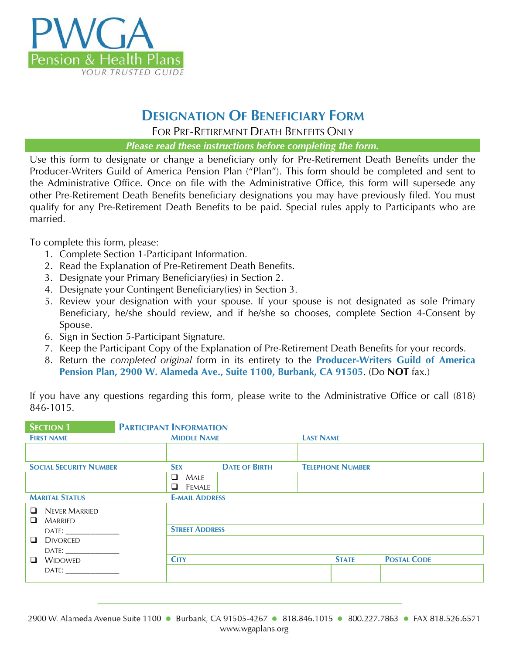

### **DESIGNATION OF BENEFICIARY FORM**

FOR PRE-RETIREMENT DEATH BENEFITS ONLY

*Please read these instructions before completing the form.*

Use this form to designate or change a beneficiary only for Pre-Retirement Death Benefits under the Producer-Writers Guild of America Pension Plan ("Plan"). This form should be completed and sent to the Administrative Office. Once on file with the Administrative Office, this form will supersede any other Pre-Retirement Death Benefits beneficiary designations you may have previously filed. You must qualify for any Pre-Retirement Death Benefits to be paid. Special rules apply to Participants who are married.

To complete this form, please:

- 1. Complete Section 1-Participant Information.
- 2. Read the Explanation of Pre-Retirement Death Benefits.
- 3. Designate your Primary Beneficiary(ies) in Section 2.
- 4. Designate your Contingent Beneficiary(ies) in Section 3.
- 5. Review your designation with your spouse. If your spouse is not designated as sole Primary Beneficiary, he/she should review, and if he/she so chooses, complete Section 4-Consent by Spouse.
- 6. Sign in Section 5-Participant Signature.
- 7. Keep the Participant Copy of the Explanation of Pre-Retirement Death Benefits for your records.
- 8. Return the *completed original* form in its entirety to the **Producer-Writers Guild of America Pension Plan, 2900 W. Alameda Ave., Suite 1100, Burbank, CA 91505**. (Do **NOT** fax.)

| If you have any questions regarding this form, please write to the Administrative Office or call (818) |  |  |  |  |  |
|--------------------------------------------------------------------------------------------------------|--|--|--|--|--|
| 846-1015.                                                                                              |  |  |  |  |  |

| <b>SECTION 1</b>                                                                                                                                                                                                                                       | <b>PARTICIPANT INFORMATION</b> |                      |                         |                    |
|--------------------------------------------------------------------------------------------------------------------------------------------------------------------------------------------------------------------------------------------------------|--------------------------------|----------------------|-------------------------|--------------------|
| <b>FIRST NAME</b>                                                                                                                                                                                                                                      | <b>MIDDLE NAME</b>             |                      | <b>LAST NAME</b>        |                    |
|                                                                                                                                                                                                                                                        |                                |                      |                         |                    |
| <b>SOCIAL SECURITY NUMBER</b>                                                                                                                                                                                                                          | <b>SEX</b>                     | <b>DATE OF BIRTH</b> | <b>TELEPHONE NUMBER</b> |                    |
|                                                                                                                                                                                                                                                        | $\Box$<br>Male<br>Female<br>□  |                      |                         |                    |
| <b>MARITAL STATUS</b>                                                                                                                                                                                                                                  | <b>E-MAIL ADDRESS</b>          |                      |                         |                    |
| <b>NEVER MARRIED</b><br>$\Box$<br><b>MARRIED</b><br>❏                                                                                                                                                                                                  |                                |                      |                         |                    |
|                                                                                                                                                                                                                                                        | <b>STREET ADDRESS</b>          |                      |                         |                    |
| ❏<br><b>DIVORCED</b><br>DATE: the contract of the contract of the contract of the contract of the contract of the contract of the contract of the contract of the contract of the contract of the contract of the contract of the contract of the cont |                                |                      |                         |                    |
| $\Box$<br><b>WIDOWED</b>                                                                                                                                                                                                                               | <b>CITY</b>                    |                      | <b>STATE</b>            | <b>POSTAL CODE</b> |
| DATE:                                                                                                                                                                                                                                                  |                                |                      |                         |                    |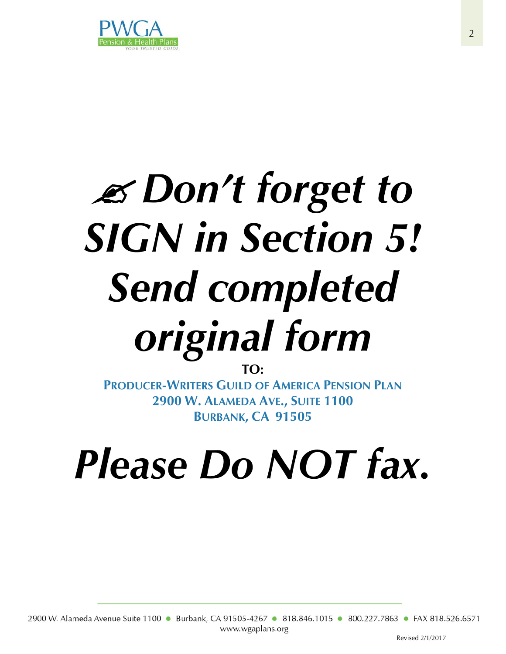

# *Don't forget to SIGN in Section 5! Send completed original form*

**TO:**

**PRODUCER-WRITERS GUILD OF AMERICA PENSION PLAN 2900 W. ALAMEDA AVE., SUITE 1100 BURBANK, CA 91505**

## *Please Do NOT fax.*

2900 W. Alameda Avenue Suite 1100 • Burbank, CA 91505-4267 • 818.846.1015 • 800.227.7863 • FAX 818.526.6571 www.wgaplans.org

Revised 2/1/2017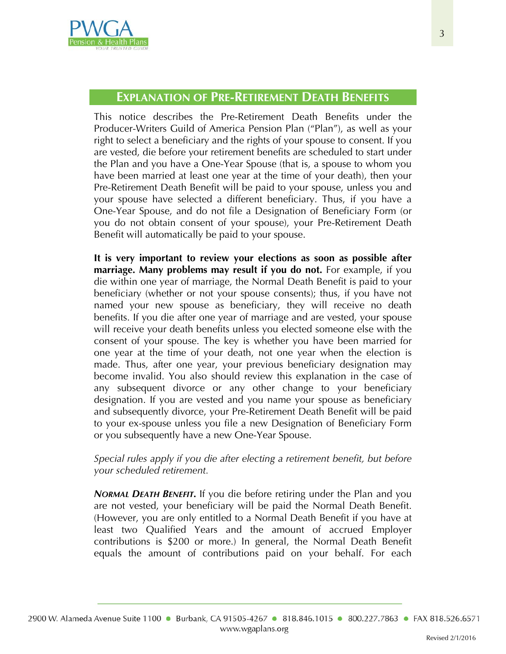

This notice describes the Pre-Retirement Death Benefits under the Producer-Writers Guild of America Pension Plan ("Plan"), as well as your right to select a beneficiary and the rights of your spouse to consent. If you are vested, die before your retirement benefits are scheduled to start under the Plan and you have a One-Year Spouse (that is, a spouse to whom you have been married at least one year at the time of your death), then your Pre-Retirement Death Benefit will be paid to your spouse, unless you and your spouse have selected a different beneficiary. Thus, if you have a One-Year Spouse, and do not file a Designation of Beneficiary Form (or you do not obtain consent of your spouse), your Pre-Retirement Death Benefit will automatically be paid to your spouse.

**It is very important to review your elections as soon as possible after marriage. Many problems may result if you do not.** For example, if you die within one year of marriage, the Normal Death Benefit is paid to your beneficiary (whether or not your spouse consents); thus, if you have not named your new spouse as beneficiary, they will receive no death benefits. If you die after one year of marriage and are vested, your spouse will receive your death benefits unless you elected someone else with the consent of your spouse. The key is whether you have been married for one year at the time of your death, not one year when the election is made. Thus, after one year, your previous beneficiary designation may become invalid. You also should review this explanation in the case of any subsequent divorce or any other change to your beneficiary designation. If you are vested and you name your spouse as beneficiary and subsequently divorce, your Pre-Retirement Death Benefit will be paid to your ex-spouse unless you file a new Designation of Beneficiary Form or you subsequently have a new One-Year Spouse.

*Special rules apply if you die after electing a retirement benefit, but before your scheduled retirement.*

*NORMAL DEATH BENEFIT.* If you die before retiring under the Plan and you are not vested, your beneficiary will be paid the Normal Death Benefit. (However, you are only entitled to a Normal Death Benefit if you have at least two Qualified Years and the amount of accrued Employer contributions is \$200 or more.) In general, the Normal Death Benefit equals the amount of contributions paid on your behalf. For each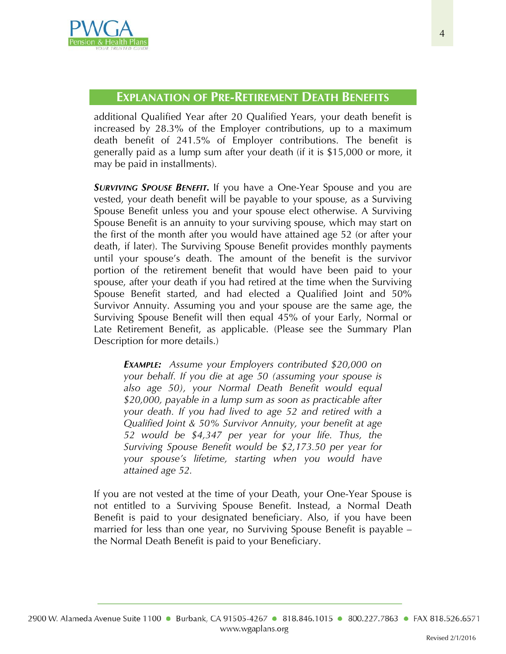

additional Qualified Year after 20 Qualified Years, your death benefit is increased by 28.3% of the Employer contributions, up to a maximum death benefit of 241.5% of Employer contributions. The benefit is generally paid as a lump sum after your death (if it is \$15,000 or more, it may be paid in installments).

*SURVIVING SPOUSE BENEFIT.* If you have a One-Year Spouse and you are vested, your death benefit will be payable to your spouse, as a Surviving Spouse Benefit unless you and your spouse elect otherwise. A Surviving Spouse Benefit is an annuity to your surviving spouse, which may start on the first of the month after you would have attained age 52 (or after your death, if later). The Surviving Spouse Benefit provides monthly payments until your spouse's death. The amount of the benefit is the survivor portion of the retirement benefit that would have been paid to your spouse, after your death if you had retired at the time when the Surviving Spouse Benefit started, and had elected a Qualified Joint and 50% Survivor Annuity. Assuming you and your spouse are the same age, the Surviving Spouse Benefit will then equal 45% of your Early, Normal or Late Retirement Benefit, as applicable. (Please see the Summary Plan Description for more details.)

*EXAMPLE: Assume your Employers contributed \$20,000 on your behalf. If you die at age 50 (assuming your spouse is also age 50), your Normal Death Benefit would equal \$20,000, payable in a lump sum as soon as practicable after your death. If you had lived to age 52 and retired with a Qualified Joint & 50% Survivor Annuity, your benefit at age 52 would be \$4,347 per year for your life. Thus, the Surviving Spouse Benefit would be \$2,173.50 per year for your spouse's lifetime, starting when you would have attained age 52.*

If you are not vested at the time of your Death, your One-Year Spouse is not entitled to a Surviving Spouse Benefit. Instead, a Normal Death Benefit is paid to your designated beneficiary. Also, if you have been married for less than one year, no Surviving Spouse Benefit is payable – the Normal Death Benefit is paid to your Beneficiary.

Revised 2/1/2016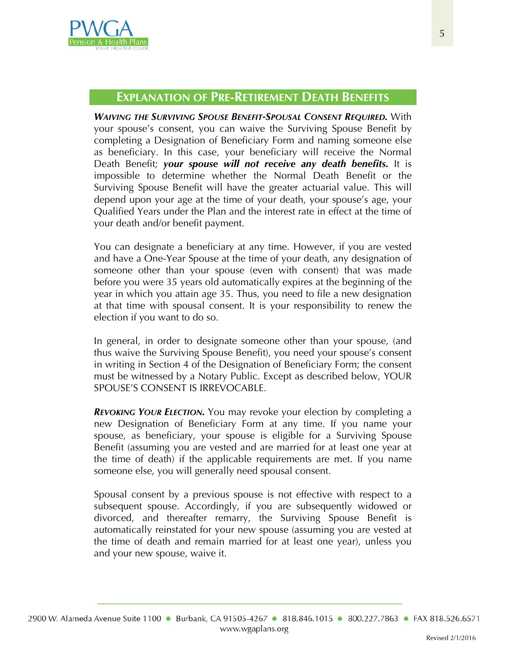

*WAIVING THE SURVIVING SPOUSE BENEFIT-SPOUSAL CONSENT REQUIRED.* With your spouse's consent, you can waive the Surviving Spouse Benefit by completing a Designation of Beneficiary Form and naming someone else as beneficiary. In this case, your beneficiary will receive the Normal Death Benefit; *your spouse will not receive any death benefits.* It is impossible to determine whether the Normal Death Benefit or the Surviving Spouse Benefit will have the greater actuarial value. This will depend upon your age at the time of your death, your spouse's age, your Qualified Years under the Plan and the interest rate in effect at the time of your death and/or benefit payment.

You can designate a beneficiary at any time. However, if you are vested and have a One-Year Spouse at the time of your death, any designation of someone other than your spouse (even with consent) that was made before you were 35 years old automatically expires at the beginning of the year in which you attain age 35. Thus, you need to file a new designation at that time with spousal consent. It is your responsibility to renew the election if you want to do so.

In general, in order to designate someone other than your spouse, (and thus waive the Surviving Spouse Benefit), you need your spouse's consent in writing in Section 4 of the Designation of Beneficiary Form; the consent must be witnessed by a Notary Public. Except as described below, YOUR SPOUSE'S CONSENT IS IRREVOCABLE.

*REVOKING YOUR ELECTION.* You may revoke your election by completing a new Designation of Beneficiary Form at any time. If you name your spouse, as beneficiary, your spouse is eligible for a Surviving Spouse Benefit (assuming you are vested and are married for at least one year at the time of death) if the applicable requirements are met. If you name someone else, you will generally need spousal consent.

Spousal consent by a previous spouse is not effective with respect to a subsequent spouse. Accordingly, if you are subsequently widowed or divorced, and thereafter remarry, the Surviving Spouse Benefit is automatically reinstated for your new spouse (assuming you are vested at the time of death and remain married for at least one year), unless you and your new spouse, waive it.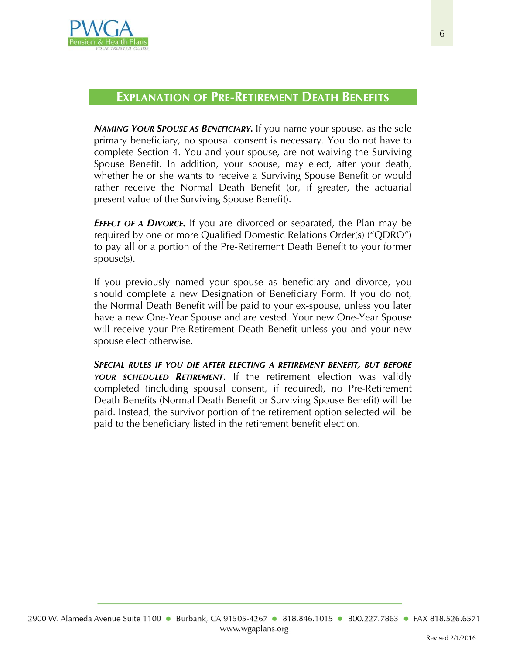

*NAMING YOUR SPOUSE AS BENEFICIARY.* If you name your spouse, as the sole primary beneficiary, no spousal consent is necessary. You do not have to complete Section 4. You and your spouse, are not waiving the Surviving Spouse Benefit. In addition, your spouse, may elect, after your death, whether he or she wants to receive a Surviving Spouse Benefit or would rather receive the Normal Death Benefit (or, if greater, the actuarial present value of the Surviving Spouse Benefit).

*EFFECT OF A DIVORCE.* If you are divorced or separated, the Plan may be required by one or more Qualified Domestic Relations Order(s) ("QDRO") to pay all or a portion of the Pre-Retirement Death Benefit to your former spouse(s).

If you previously named your spouse as beneficiary and divorce, you should complete a new Designation of Beneficiary Form. If you do not, the Normal Death Benefit will be paid to your ex-spouse, unless you later have a new One-Year Spouse and are vested. Your new One-Year Spouse will receive your Pre-Retirement Death Benefit unless you and your new spouse elect otherwise.

*SPECIAL RULES IF YOU DIE AFTER ELECTING A RETIREMENT BENEFIT, BUT BEFORE YOUR SCHEDULED RETIREMENT*. If the retirement election was validly completed (including spousal consent, if required), no Pre-Retirement Death Benefits (Normal Death Benefit or Surviving Spouse Benefit) will be paid. Instead, the survivor portion of the retirement option selected will be paid to the beneficiary listed in the retirement benefit election.

Revised 2/1/2016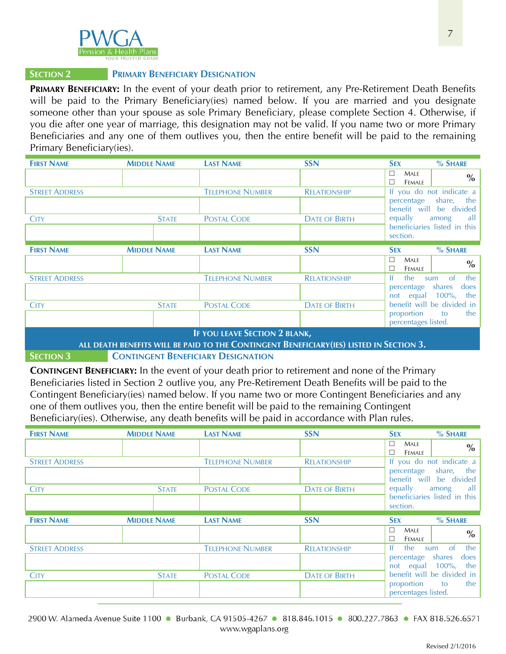

#### **SECTION 2 PRIMARY BENEFICIARY DESIGNATION**

**PRIMARY BENEFICIARY:** In the event of your death prior to retirement, any Pre-Retirement Death Benefits will be paid to the Primary Beneficiary(ies) named below. If you are married and you designate someone other than your spouse as sole Primary Beneficiary, please complete Section 4. Otherwise, if you die after one year of marriage, this designation may not be valid. If you name two or more Primary Beneficiaries and any one of them outlives you, then the entire benefit will be paid to the remaining Primary Beneficiary(ies).

| <b>FIRST NAME</b>     | <b>MIDDLE NAME</b> | <b>LAST NAME</b>                                                                                                            | <b>SSN</b>           | $%$ SHARE<br><b>SEX</b>                                                                  |
|-----------------------|--------------------|-----------------------------------------------------------------------------------------------------------------------------|----------------------|------------------------------------------------------------------------------------------|
|                       |                    |                                                                                                                             |                      | $\Box$<br>MALE<br>$\%$<br><b>FEMALE</b><br>П                                             |
| <b>STREET ADDRESS</b> |                    | <b>TELEPHONE NUMBER</b>                                                                                                     | <b>RELATIONSHIP</b>  | If you do not indicate a<br>percentage share, the<br>benefit will be divided             |
| <b>CITY</b>           | <b>STATE</b>       | <b>POSTAL CODE</b>                                                                                                          | <b>DATE OF BIRTH</b> | equally<br>all a<br>among<br>beneficiaries listed in this<br>section.                    |
| <b>FIRST NAME</b>     | <b>MIDDLE NAME</b> | <b>LAST NAME</b>                                                                                                            | <b>SSN</b>           | $%$ SHARE<br><b>SEX</b>                                                                  |
|                       |                    |                                                                                                                             |                      | П<br>MALE<br>$\frac{0}{0}$<br>FEMALE                                                     |
| <b>STREET ADDRESS</b> |                    | <b>TELEPHONE NUMBER</b>                                                                                                     | <b>RELATIONSHIP</b>  | $\alpha$<br>the<br>-lf<br>the<br>sum<br>percentage shares<br>does<br>not equal 100%, the |
| <b>CITY</b>           | <b>STATE</b>       | <b>POSTAL CODE</b>                                                                                                          | <b>DATE OF BIRTH</b> | benefit will be divided in<br>proportion<br>the<br>to<br>percentages listed.             |
|                       |                    | <b>IF YOU LEAVE SECTION 2 BLANK,</b><br><b>ALL DEATH DEVICES WILL BE BAID TO THE CONTINUES IT DEVELOPMENT AND CECTION 2</b> |                      |                                                                                          |

#### **ALL DEATH BENEFITS WILL BE PAID TO THE CONTINGENT BENEFICIARY(IES) LISTED IN SECTION 3.**

#### **SECTION 3 CONTINGENT BENEFICIARY DESIGNATION**

**CONTINGENT BENEFICIARY:** In the event of your death prior to retirement and none of the Primary Beneficiaries listed in Section 2 outlive you, any Pre-Retirement Death Benefits will be paid to the Contingent Beneficiary(ies) named below. If you name two or more Contingent Beneficiaries and any one of them outlives you, then the entire benefit will be paid to the remaining Contingent Beneficiary(ies). Otherwise, any death benefits will be paid in accordance with Plan rules.

| <b>FIRST NAME</b>     | <b>MIDDLE NAME</b> | <b>LAST NAME</b>        | <b>SSN</b>           | % SHARE<br><b>SEX</b>                                         |
|-----------------------|--------------------|-------------------------|----------------------|---------------------------------------------------------------|
|                       |                    |                         |                      | $\Box$<br>MALE<br>$\%$<br><b>FEMALE</b><br>П                  |
| <b>STREET ADDRESS</b> |                    | <b>TELEPHONE NUMBER</b> | <b>RELATIONSHIP</b>  | If you do not indicate a                                      |
|                       |                    |                         |                      | the  <br>share,<br>percentage<br>benefit will<br>be divided   |
| <b>CITY</b>           | <b>STATE</b>       | <b>POSTAL CODE</b>      | <b>DATE OF BIRTH</b> | equally<br>all  <br>among                                     |
|                       |                    |                         |                      | beneficiaries listed in this<br>section.                      |
|                       |                    |                         |                      |                                                               |
| <b>FIRST NAME</b>     | <b>MIDDLE NAME</b> | <b>LAST NAME</b>        | <b>SSN</b>           | % SHARE<br><b>SEX</b>                                         |
|                       |                    |                         |                      | $\Box$<br><b>MALE</b><br>$\%$<br>$\Box$<br>FEMALE             |
| <b>STREET ADDRESS</b> |                    | <b>TELEPHONE NUMBER</b> | <b>RELATIONSHIP</b>  | Ιf<br>the<br><sub>of</sub><br>the<br>sum                      |
|                       |                    |                         |                      | shares<br>does<br>percentage<br>$100\%$ ,<br>not equal<br>the |
| <b>CITY</b>           | <b>STATE</b>       | <b>POSTAL CODE</b>      | <b>DATE OF BIRTH</b> | benefit will be divided in<br>proportion<br>the<br>to         |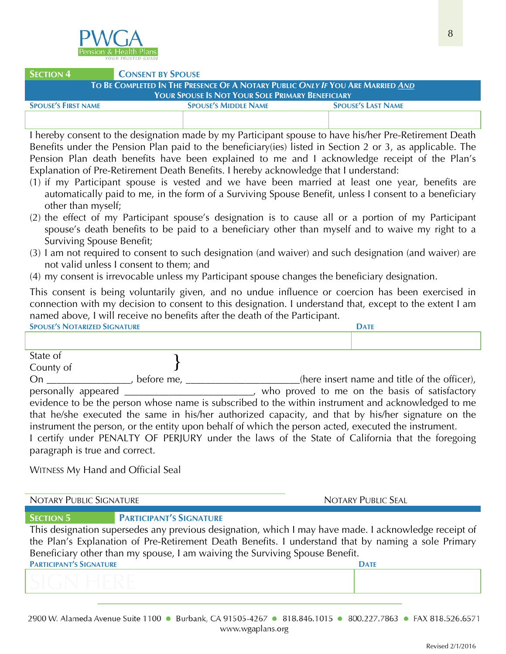

#### **SECTION 4 CONSENT BY SPOUSE TO BE COMPLETED IN THE PRESENCE OF A NOTARY PUBLIC** *ONLY IF* **YOU ARE MARRIED** *AND*

| YOUR SPOUSE IS NOT YOUR SOLE PRIMARY BENEFICIARY |                             |                           |  |  |  |
|--------------------------------------------------|-----------------------------|---------------------------|--|--|--|
| <b>SPOUSE'S FIRST NAME</b>                       | <b>SPOUSE'S MIDDLE NAME</b> | <b>SPOUSE'S LAST NAME</b> |  |  |  |
|                                                  |                             |                           |  |  |  |

I hereby consent to the designation made by my Participant spouse to have his/her Pre-Retirement Death Benefits under the Pension Plan paid to the beneficiary(ies) listed in Section 2 or 3, as applicable. The Pension Plan death benefits have been explained to me and I acknowledge receipt of the Plan's Explanation of Pre-Retirement Death Benefits. I hereby acknowledge that I understand:

- (1) if my Participant spouse is vested and we have been married at least one year, benefits are automatically paid to me, in the form of a Surviving Spouse Benefit, unless I consent to a beneficiary other than myself;
- (2) the effect of my Participant spouse's designation is to cause all or a portion of my Participant spouse's death benefits to be paid to a beneficiary other than myself and to waive my right to a Surviving Spouse Benefit;
- (3) I am not required to consent to such designation (and waiver) and such designation (and waiver) are not valid unless I consent to them; and
- (4) my consent is irrevocable unless my Participant spouse changes the beneficiary designation.

This consent is being voluntarily given, and no undue influence or coercion has been exercised in connection with my decision to consent to this designation. I understand that, except to the extent I am named above, I will receive no benefits after the death of the Participant.

| <b>SPOUSE'S NOTARIZED SIGNATURE</b> |                   | <b>DATE</b>                                                                                          |
|-------------------------------------|-------------------|------------------------------------------------------------------------------------------------------|
|                                     |                   |                                                                                                      |
| State of                            |                   |                                                                                                      |
| County of                           |                   |                                                                                                      |
| On                                  | before me, $\_\_$ | (here insert name and title of the officer),                                                         |
| personally appeared                 |                   | _______, who proved to me on the basis of satisfactory                                               |
|                                     |                   | evidence to be the person whose name is subscribed to the within instrument and acknowledged to me   |
|                                     |                   | that he/she executed the same in his/her authorized capacity, and that by his/her signature on the   |
|                                     |                   | instrument the person, or the entity upon behalf of which the person acted, executed the instrument. |
|                                     |                   | I certify under PENALTY OF PERJURY under the laws of the State of California that the foregoing      |

paragraph is true and correct.

WITNESS My Hand and Official Seal

NOTARY PUBLIC SIGNATURE NOTARY PUBLIC SEAL

#### **SECTION 5 PARTICIPANT'S SIGNATURE**

This designation supersedes any previous designation, which I may have made. I acknowledge receipt of the Plan's Explanation of Pre-Retirement Death Benefits. I understand that by naming a sole Primary Beneficiary other than my spouse, I am waiving the Surviving Spouse Benefit.

| <b>PARTICIPANT'S SIGNATURE</b><br><b>DATE</b> |  |
|-----------------------------------------------|--|
|                                               |  |

2900 W. Alameda Avenue Suite 1100 · Burbank, CA 91505-4267 · 818.846.1015 · 800.227.7863 · FAX 818.526.6571 www.wgaplans.org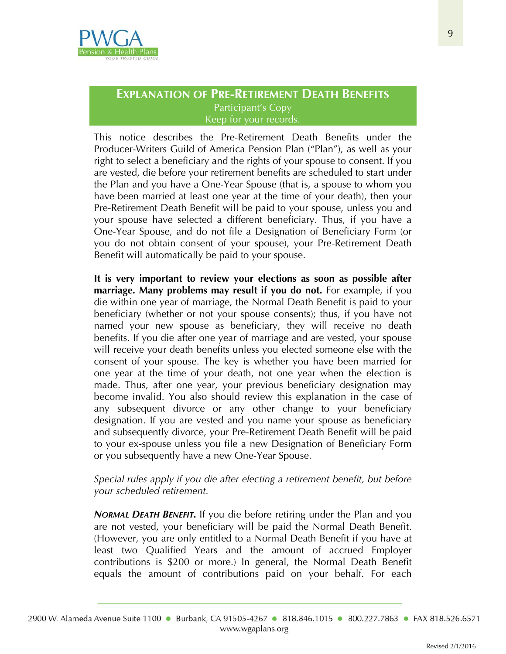

This notice describes the Pre-Retirement Death Benefits under the Producer-Writers Guild of America Pension Plan ("Plan"), as well as your right to select a beneficiary and the rights of your spouse to consent. If you are vested, die before your retirement benefits are scheduled to start under the Plan and you have a One-Year Spouse (that is, a spouse to whom you have been married at least one year at the time of your death), then your Pre-Retirement Death Benefit will be paid to your spouse, unless you and your spouse have selected a different beneficiary. Thus, if you have a One-Year Spouse, and do not file a Designation of Beneficiary Form (or you do not obtain consent of your spouse), your Pre-Retirement Death Benefit will automatically be paid to your spouse.

**It is very important to review your elections as soon as possible after marriage. Many problems may result if you do not.** For example, if you die within one year of marriage, the Normal Death Benefit is paid to your beneficiary (whether or not your spouse consents); thus, if you have not named your new spouse as beneficiary, they will receive no death benefits. If you die after one year of marriage and are vested, your spouse will receive your death benefits unless you elected someone else with the consent of your spouse. The key is whether you have been married for one year at the time of your death, not one year when the election is made. Thus, after one year, your previous beneficiary designation may become invalid. You also should review this explanation in the case of any subsequent divorce or any other change to your beneficiary designation. If you are vested and you name your spouse as beneficiary and subsequently divorce, your Pre-Retirement Death Benefit will be paid to your ex-spouse unless you file a new Designation of Beneficiary Form or you subsequently have a new One-Year Spouse.

#### *Special rules apply if you die after electing a retirement benefit, but before your scheduled retirement.*

*NORMAL DEATH BENEFIT.* If you die before retiring under the Plan and you are not vested, your beneficiary will be paid the Normal Death Benefit. (However, you are only entitled to a Normal Death Benefit if you have at least two Qualified Years and the amount of accrued Employer contributions is \$200 or more.) In general, the Normal Death Benefit equals the amount of contributions paid on your behalf. For each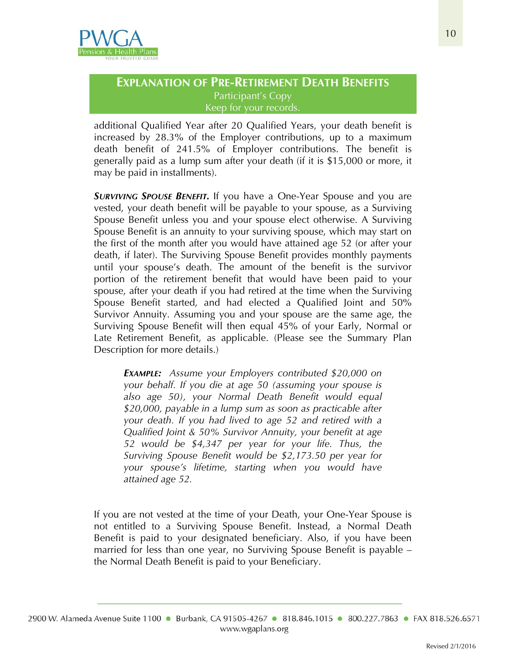

additional Qualified Year after 20 Qualified Years, your death benefit is increased by 28.3% of the Employer contributions, up to a maximum death benefit of 241.5% of Employer contributions. The benefit is generally paid as a lump sum after your death (if it is \$15,000 or more, it may be paid in installments).

*SURVIVING SPOUSE BENEFIT.* If you have a One-Year Spouse and you are vested, your death benefit will be payable to your spouse, as a Surviving Spouse Benefit unless you and your spouse elect otherwise. A Surviving Spouse Benefit is an annuity to your surviving spouse, which may start on the first of the month after you would have attained age 52 (or after your death, if later). The Surviving Spouse Benefit provides monthly payments until your spouse's death. The amount of the benefit is the survivor portion of the retirement benefit that would have been paid to your spouse, after your death if you had retired at the time when the Surviving Spouse Benefit started, and had elected a Qualified Joint and 50% Survivor Annuity. Assuming you and your spouse are the same age, the Surviving Spouse Benefit will then equal 45% of your Early, Normal or Late Retirement Benefit, as applicable. (Please see the Summary Plan Description for more details.)

*EXAMPLE: Assume your Employers contributed \$20,000 on your behalf. If you die at age 50 (assuming your spouse is also age 50), your Normal Death Benefit would equal \$20,000, payable in a lump sum as soon as practicable after your death. If you had lived to age 52 and retired with a Qualified Joint & 50% Survivor Annuity, your benefit at age 52 would be \$4,347 per year for your life. Thus, the Surviving Spouse Benefit would be \$2,173.50 per year for your spouse's lifetime, starting when you would have attained age 52.*

If you are not vested at the time of your Death, your One-Year Spouse is not entitled to a Surviving Spouse Benefit. Instead, a Normal Death Benefit is paid to your designated beneficiary. Also, if you have been married for less than one year, no Surviving Spouse Benefit is payable – the Normal Death Benefit is paid to your Beneficiary.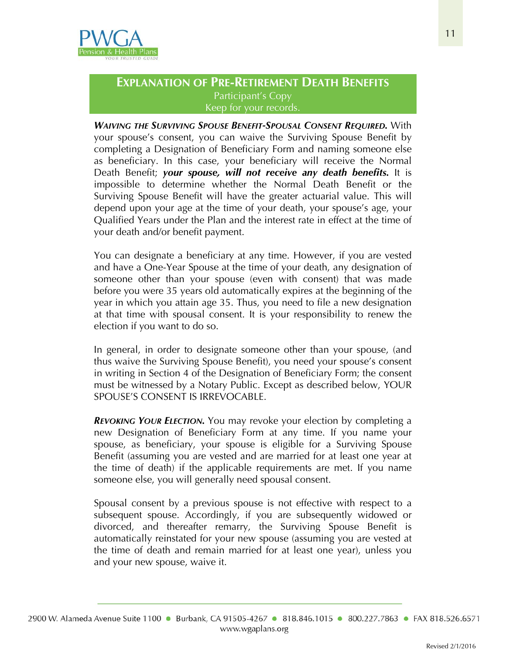

*WAIVING THE SURVIVING SPOUSE BENEFIT-SPOUSAL CONSENT REQUIRED.* With your spouse's consent, you can waive the Surviving Spouse Benefit by completing a Designation of Beneficiary Form and naming someone else as beneficiary. In this case, your beneficiary will receive the Normal Death Benefit; *your spouse, will not receive any death benefits.* It is impossible to determine whether the Normal Death Benefit or the Surviving Spouse Benefit will have the greater actuarial value. This will depend upon your age at the time of your death, your spouse's age, your Qualified Years under the Plan and the interest rate in effect at the time of your death and/or benefit payment.

You can designate a beneficiary at any time. However, if you are vested and have a One-Year Spouse at the time of your death, any designation of someone other than your spouse (even with consent) that was made before you were 35 years old automatically expires at the beginning of the year in which you attain age 35. Thus, you need to file a new designation at that time with spousal consent. It is your responsibility to renew the election if you want to do so.

In general, in order to designate someone other than your spouse, (and thus waive the Surviving Spouse Benefit), you need your spouse's consent in writing in Section 4 of the Designation of Beneficiary Form; the consent must be witnessed by a Notary Public. Except as described below, YOUR SPOUSE'S CONSENT IS IRREVOCABLE.

*REVOKING YOUR ELECTION.* You may revoke your election by completing a new Designation of Beneficiary Form at any time. If you name your spouse, as beneficiary, your spouse is eligible for a Surviving Spouse Benefit (assuming you are vested and are married for at least one year at the time of death) if the applicable requirements are met. If you name someone else, you will generally need spousal consent.

Spousal consent by a previous spouse is not effective with respect to a subsequent spouse. Accordingly, if you are subsequently widowed or divorced, and thereafter remarry, the Surviving Spouse Benefit is automatically reinstated for your new spouse (assuming you are vested at the time of death and remain married for at least one year), unless you and your new spouse, waive it.